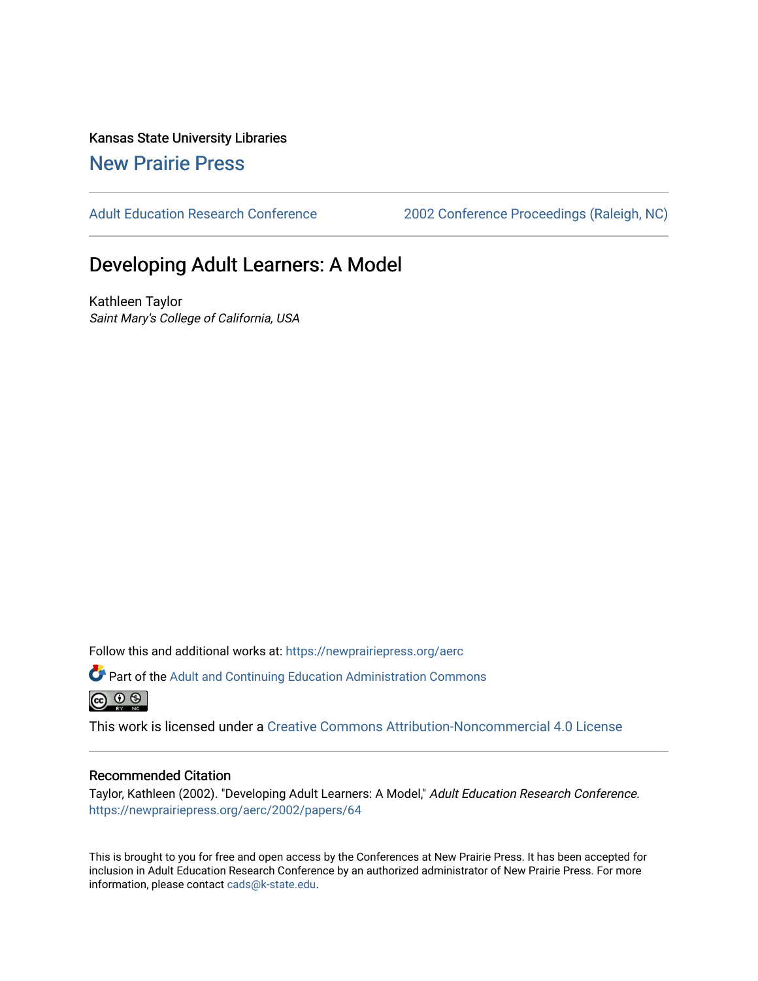Kansas State University Libraries [New Prairie Press](https://newprairiepress.org/) 

[Adult Education Research Conference](https://newprairiepress.org/aerc) [2002 Conference Proceedings \(Raleigh, NC\)](https://newprairiepress.org/aerc/2002) 

# Developing Adult Learners: A Model

Kathleen Taylor Saint Mary's College of California, USA

Follow this and additional works at: [https://newprairiepress.org/aerc](https://newprairiepress.org/aerc?utm_source=newprairiepress.org%2Faerc%2F2002%2Fpapers%2F64&utm_medium=PDF&utm_campaign=PDFCoverPages)

Part of the [Adult and Continuing Education Administration Commons](http://network.bepress.com/hgg/discipline/789?utm_source=newprairiepress.org%2Faerc%2F2002%2Fpapers%2F64&utm_medium=PDF&utm_campaign=PDFCoverPages)  $\circledcirc$   $\circledcirc$ 

This work is licensed under a [Creative Commons Attribution-Noncommercial 4.0 License](https://creativecommons.org/licenses/by-nc/4.0/)

#### Recommended Citation

Taylor, Kathleen (2002). "Developing Adult Learners: A Model," Adult Education Research Conference. <https://newprairiepress.org/aerc/2002/papers/64>

This is brought to you for free and open access by the Conferences at New Prairie Press. It has been accepted for inclusion in Adult Education Research Conference by an authorized administrator of New Prairie Press. For more information, please contact [cads@k-state.edu](mailto:cads@k-state.edu).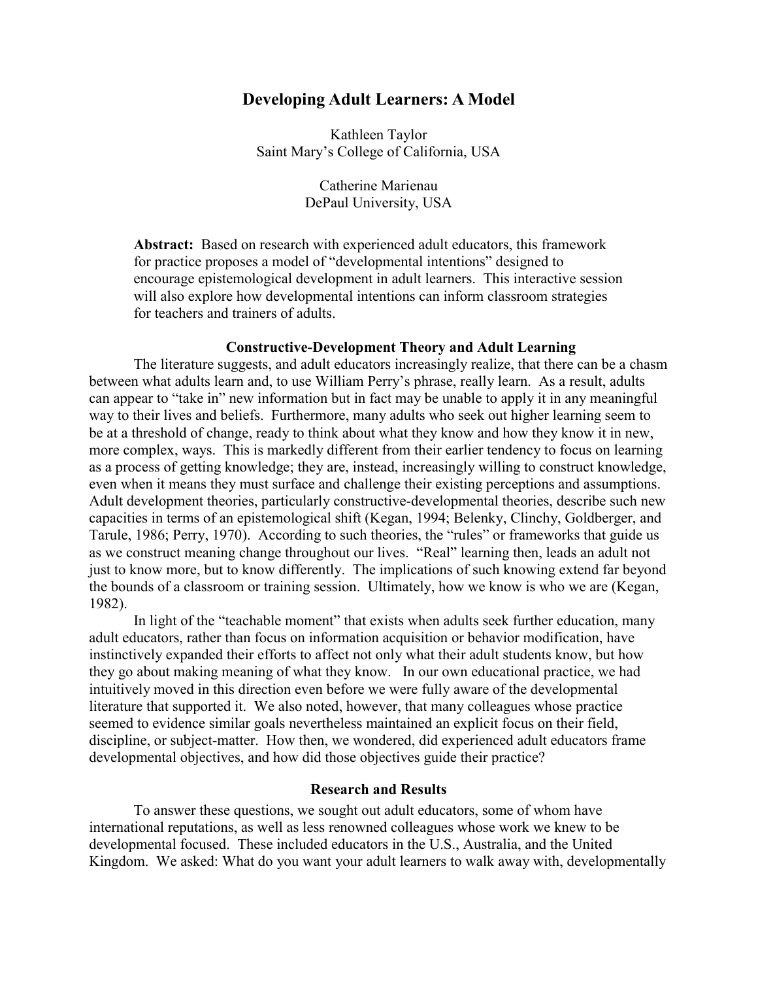## **Developing Adult Learners: A Model**

Kathleen Taylor Saint Mary's College of California, USA

> Catherine Marienau DePaul University, USA

**Abstract:** Based on research with experienced adult educators, this framework for practice proposes a model of "developmental intentions" designed to encourage epistemological development in adult learners. This interactive session will also explore how developmental intentions can inform classroom strategies for teachers and trainers of adults.

#### **Constructive-Development Theory and Adult Learning**

The literature suggests, and adult educators increasingly realize, that there can be a chasm between what adults learn and, to use William Perry's phrase, really learn. As a result, adults can appear to "take in" new information but in fact may be unable to apply it in any meaningful way to their lives and beliefs. Furthermore, many adults who seek out higher learning seem to be at a threshold of change, ready to think about what they know and how they know it in new, more complex, ways. This is markedly different from their earlier tendency to focus on learning as a process of getting knowledge; they are, instead, increasingly willing to construct knowledge, even when it means they must surface and challenge their existing perceptions and assumptions. Adult development theories, particularly constructive-developmental theories, describe such new capacities in terms of an epistemological shift (Kegan, 1994; Belenky, Clinchy, Goldberger, and Tarule, 1986; Perry, 1970). According to such theories, the "rules" or frameworks that guide us as we construct meaning change throughout our lives. "Real" learning then, leads an adult not just to know more, but to know differently. The implications of such knowing extend far beyond the bounds of a classroom or training session. Ultimately, how we know is who we are (Kegan, 1982).

In light of the "teachable moment" that exists when adults seek further education, many adult educators, rather than focus on information acquisition or behavior modification, have instinctively expanded their efforts to affect not only what their adult students know, but how they go about making meaning of what they know. In our own educational practice, we had intuitively moved in this direction even before we were fully aware of the developmental literature that supported it. We also noted, however, that many colleagues whose practice seemed to evidence similar goals nevertheless maintained an explicit focus on their field, discipline, or subject-matter. How then, we wondered, did experienced adult educators frame developmental objectives, and how did those objectives guide their practice?

#### **Research and Results**

To answer these questions, we sought out adult educators, some of whom have international reputations, as well as less renowned colleagues whose work we knew to be developmental focused. These included educators in the U.S., Australia, and the United Kingdom. We asked: What do you want your adult learners to walk away with, developmentally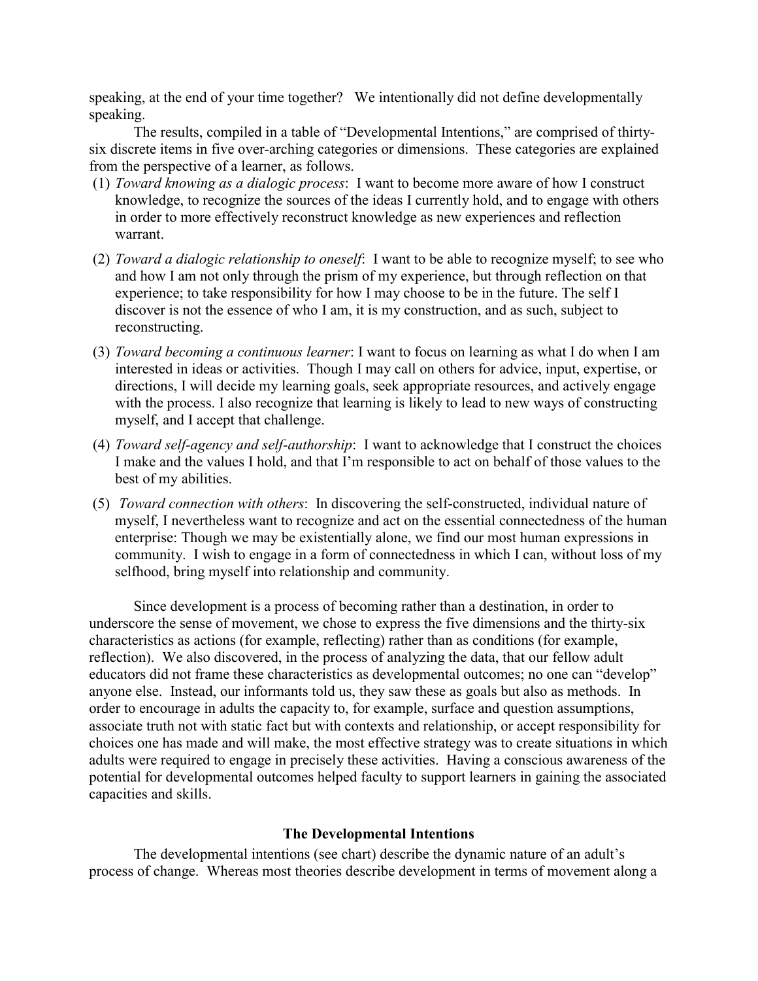speaking, at the end of your time together? We intentionally did not define developmentally speaking.

The results, compiled in a table of "Developmental Intentions," are comprised of thirtysix discrete items in five over-arching categories or dimensions. These categories are explained from the perspective of a learner, as follows.

- (1) *Toward knowing as a dialogic process*: I want to become more aware of how I construct knowledge, to recognize the sources of the ideas I currently hold, and to engage with others in order to more effectively reconstruct knowledge as new experiences and reflection warrant.
- (2) *Toward a dialogic relationship to oneself*: I want to be able to recognize myself; to see who and how I am not only through the prism of my experience, but through reflection on that experience; to take responsibility for how I may choose to be in the future. The self I discover is not the essence of who I am, it is my construction, and as such, subject to reconstructing.
- (3) *Toward becoming a continuous learner*: I want to focus on learning as what I do when I am interested in ideas or activities. Though I may call on others for advice, input, expertise, or directions, I will decide my learning goals, seek appropriate resources, and actively engage with the process. I also recognize that learning is likely to lead to new ways of constructing myself, and I accept that challenge.
- (4) *Toward self-agency and self-authorship*: I want to acknowledge that I construct the choices I make and the values I hold, and that I'm responsible to act on behalf of those values to the best of my abilities.
- (5) *Toward connection with others*: In discovering the self-constructed, individual nature of myself, I nevertheless want to recognize and act on the essential connectedness of the human enterprise: Though we may be existentially alone, we find our most human expressions in community. I wish to engage in a form of connectedness in which I can, without loss of my selfhood, bring myself into relationship and community.

Since development is a process of becoming rather than a destination, in order to underscore the sense of movement, we chose to express the five dimensions and the thirty-six characteristics as actions (for example, reflecting) rather than as conditions (for example, reflection). We also discovered, in the process of analyzing the data, that our fellow adult educators did not frame these characteristics as developmental outcomes; no one can "develop" anyone else. Instead, our informants told us, they saw these as goals but also as methods. In order to encourage in adults the capacity to, for example, surface and question assumptions, associate truth not with static fact but with contexts and relationship, or accept responsibility for choices one has made and will make, the most effective strategy was to create situations in which adults were required to engage in precisely these activities. Having a conscious awareness of the potential for developmental outcomes helped faculty to support learners in gaining the associated capacities and skills.

### **The Developmental Intentions**

The developmental intentions (see chart) describe the dynamic nature of an adult's process of change. Whereas most theories describe development in terms of movement along a